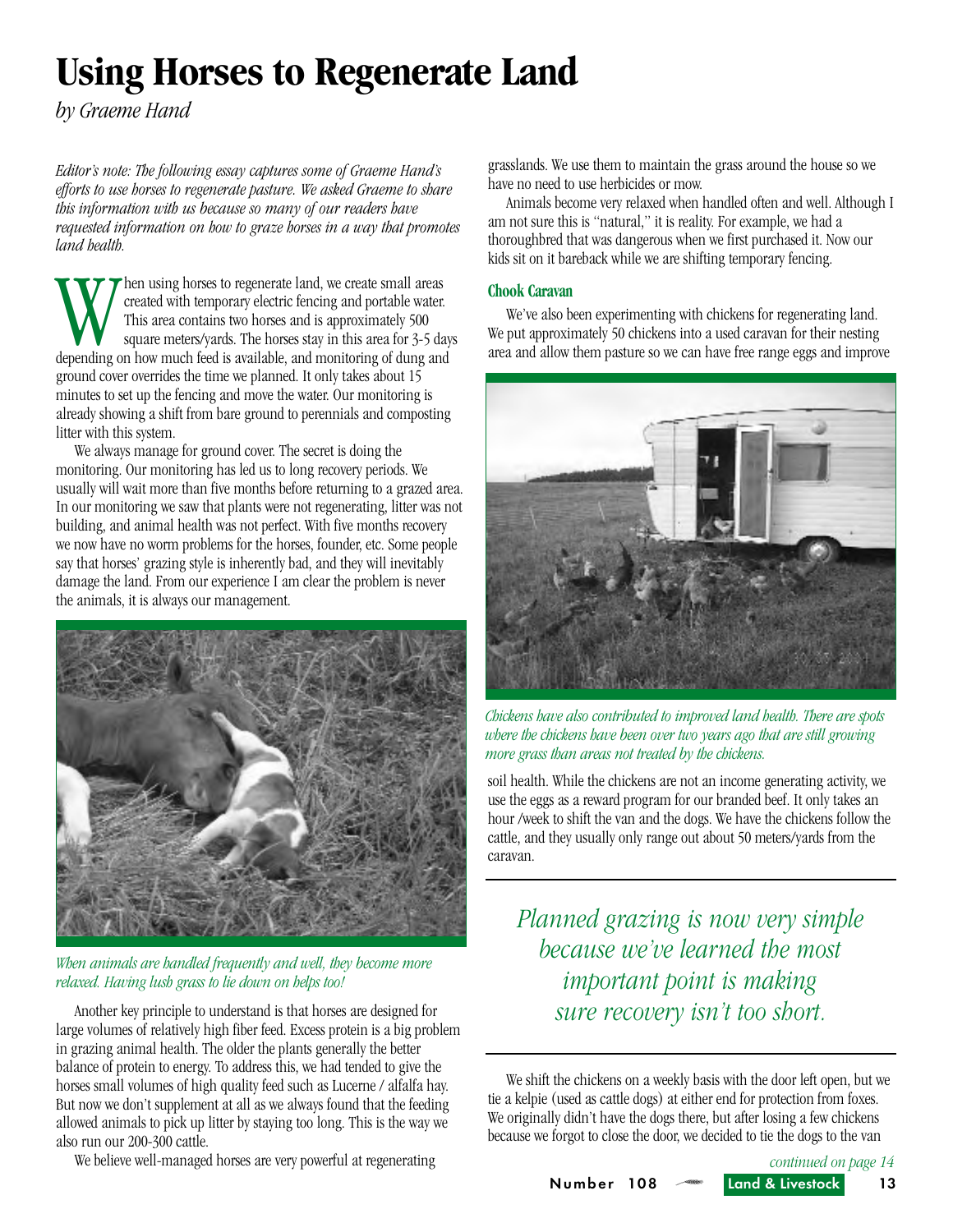# **Using Horses to Regenerate Land**

*by Graeme Hand*

*Editor's note: The following essay captures some of Graeme Hand's efforts to use horses to regenerate pasture. We asked Graeme to share this information with us because so many of our readers have requested information on how to graze horses in a way that promotes land health.* 

When using horses to regenerate land, we create small areas<br>created with temporary electric fencing and portable water.<br>This area contains two horses and is approximately 500<br>depending on how much feed is available, and mo created with temporary electric fencing and portable water. This area contains two horses and is approximately 500 square meters/yards. The horses stay in this area for 3-5 days ground cover overrides the time we planned. It only takes about 15 minutes to set up the fencing and move the water. Our monitoring is already showing a shift from bare ground to perennials and composting litter with this system.

We always manage for ground cover. The secret is doing the monitoring. Our monitoring has led us to long recovery periods. We usually will wait more than five months before returning to a grazed area. In our monitoring we saw that plants were not regenerating, litter was not building, and animal health was not perfect. With five months recovery we now have no worm problems for the horses, founder, etc. Some people say that horses' grazing style is inherently bad, and they will inevitably damage the land. From our experience I am clear the problem is never the animals, it is always our management.



### *When animals are handled frequently and well, they become more relaxed. Having lush grass to lie down on helps too!*

Another key principle to understand is that horses are designed for large volumes of relatively high fiber feed. Excess protein is a big problem in grazing animal health. The older the plants generally the better balance of protein to energy. To address this, we had tended to give the horses small volumes of high quality feed such as Lucerne / alfalfa hay. But now we don't supplement at all as we always found that the feeding allowed animals to pick up litter by staying too long. This is the way we also run our 200-300 cattle.

We believe well-managed horses are very powerful at regenerating

grasslands. We use them to maintain the grass around the house so we have no need to use herbicides or mow.

Animals become very relaxed when handled often and well. Although I am not sure this is "natural," it is reality. For example, we had a thoroughbred that was dangerous when we first purchased it. Now our kids sit on it bareback while we are shifting temporary fencing.

#### **Chook Caravan**

We've also been experimenting with chickens for regenerating land. We put approximately 50 chickens into a used caravan for their nesting area and allow them pasture so we can have free range eggs and improve



*Chickens have also contributed to improved land health. There are spots where the chickens have been over two years ago that are still growing more grass than areas not treated by the chickens.*

soil health. While the chickens are not an income generating activity, we use the eggs as a reward program for our branded beef. It only takes an hour /week to shift the van and the dogs. We have the chickens follow the cattle, and they usually only range out about 50 meters/yards from the caravan.

*Planned grazing is now very simple because we've learned the most important point is making sure recovery isn't too short.*

We shift the chickens on a weekly basis with the door left open, but we tie a kelpie (used as cattle dogs) at either end for protection from foxes. We originally didn't have the dogs there, but after losing a few chickens because we forgot to close the door, we decided to tie the dogs to the van